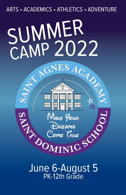

June 6-August 5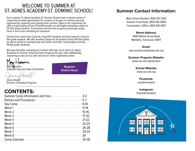### WELCOME TO SUMMER AT ST. AGNES ACADEMY-ST. DOMINIC SCHOOL!

Each summer, St. Agnes Academy-St. Dominic School hosts a vibrant variety of camps that provide opportunities for campers of all ages to continue learning, experiencing, exploring and enjoying their summer. Open to the community, we offer a huge catalog of over 70 professionally run and highly rewarding camps for PK-12th grade students. From drama and fine arts to sports and all-day camps, there is sure to be something for everyone!

Choose from Junior Day Camp for rising PK-K students and Day Camp for rising 1st-6th grade students. We offer Auxiliary Camps for all students (rising PK-12th grade) as well as partial or extended day care before and after camp programs (rising PK-6th grade students).

We hope that after reviewing our summer offerings, you'll select St. Agnes Academy-St. Dominic School Summer Programs for your child. Additionally, registering is easy via our safe and secure online registration portal.



Mary **Whrmeier** Extended Day and Camp Coordinator

**Register [Online Here!](https://campscui.active.com/orgs/StAgnesAcademyStDominicSchool)**

Jenny Howell Director of Auxillary Programs

### **CONTENTS:**

| Summer Camp Information and Fees |           |
|----------------------------------|-----------|
| Policies and Procedures          |           |
|                                  | $9-10$    |
|                                  | $11 - 14$ |
|                                  | $15-16$   |
| Week 3                           |           |
| Week 4 21-22                     |           |
| Week 5                           |           |
| Week 6                           |           |
| Week 7                           | 29-33     |
| Week 8                           | 34        |
| Camp Calendar                    | 35-38     |

### **Summer Contact Information:**

Main School Number: (901) 767-1356 Summer Front Desk: (901) 435-5893 Coordinator's Office: (901) 435-5817

#### **Street Address:**

4830 Walnut Grove Road Memphis, Tennessee 38117

**Email:**  eda-summercamp@saa-sds.org

#### **Summer Program Website:**

www.saa-sds.org/Summer

**School Website:**  www.saa-sds.org

#### **Facebook:**  saasdsmemphis

**Instagram:**  @saasdsmemphis

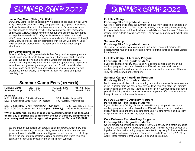### SUMMER CAMP 2022

#### **Junior Day Camp (Rising PK, JK & K)**

Our Jr. Day Camp is open to all rising PK-K students and is housed in our Davis Early Childhood Center. Our Jr. Day Camp provides age-appropriate activities and special events that will not only enhance your child's summer vacation, but also provide an atmosphere where they can grow socially, emotionally, and physically. Here, children have the opportunity to experience adventures through theme-based arts & crafts, special activities & visitors, and much more! Junior Campers will also expand community and self awareness through weekly service projects, done in partnership with the Day Campers. All Junior Day Campers are provided rest time (quiet time for Kindergarten campers) after lunch.

#### **Day Camp (Rising 1st-6th)**

Open to all rising 1st-6th grade students, Day Camp provides age-appropriate activities and special events that will not only enhance your child's summer vacation, but also provide an atmosphere where they can grow socially, emotionally, and physically. Here, children have the opportunity to experience adventures through weekly scavenger hunts, arts & crafts, special visitors each week and much more! Campers will also expand community and selfawareness through weekly service projects, daily journaling, and guided creativity time.

| <b>Summer Camp Fees (per week)</b><br>PK, JK & K \$275<br>$1st - 6th$ \$260<br><b>Full Day Camp</b><br>$7:30 - 6:00$<br>PK, JK & K \$200<br>$9:00 - 3:00$<br>$1st - 6th$ \$185<br><b>Summer Camp</b><br>All Ages:<br>(7:30-6:00) Full-Day + 1 Auxiliary Program<br>\$150 + Auxiliary Program Price<br>\$90 + Auxiliary Program Price<br>(9:00-3:00) Summer Camp + 1 Auxiliary Program<br>(7:30-6:00) Full Day + 2 Aux. Programs (1st - 6th only)<br>\$100 + Aux. Program Prices<br>(9:00 - 3:00) Care Between 2 Aux. Programs (1st - 8th only)<br>\$25 + Aux. Program Prices |  |  |  |
|------------------------------------------------------------------------------------------------------------------------------------------------------------------------------------------------------------------------------------------------------------------------------------------------------------------------------------------------------------------------------------------------------------------------------------------------------------------------------------------------------------------------------------------------------------------------------|--|--|--|
|                                                                                                                                                                                                                                                                                                                                                                                                                                                                                                                                                                              |  |  |  |
|                                                                                                                                                                                                                                                                                                                                                                                                                                                                                                                                                                              |  |  |  |
|                                                                                                                                                                                                                                                                                                                                                                                                                                                                                                                                                                              |  |  |  |

**\*When registering, please choose your auxiliary camps first, then add on full day or partial day camps from the list of auxiliary camp options. if you have questions about registration, please call Mary at 435-5817.**

We are proud of our flexible, yet carefully guided programs, which allow time for recreation, learning, and leisure. Every week holds exciting new activities you won't want to miss! No matter what type of adventure your child is looking for, it is the goal of our counselors to create an atmosphere where your child can explore, learn, and investigate the possibilities of summer!

## SUMMER CAMP 2022

#### **Full Day Camp For rising PK - 6th grade students**

We love for campers to enjoy our summer camp. We know that some campers may need before and after care. The cost of the full-day camp includes the opportunity to play outside, have craft time, lunch and special visitors from the area. This option includes extra outside play time and crafts. The day will be packed with activities for your child!

#### **Summer Camp For rising PK - 6th grade students**

The cost of the summer camp option, which is a shorter day, still provides the opportunity for your child to play outside, have craft time, lunch and special visitors from the area.

#### **Full Day Camp + 1 Auxiliary Program For rising PK - 6th grade students**

If your child needs a full day of care and would like to participate in one of our auxiliary programs, this is the choice for you! We will walk your child to their auxiliary camp and bring them back to summer camp for the remainder of the day. They will eat lunch with other campers.

#### **Summer Camp + 1 Auxiliary Program For rising PK - 6th grade students**

For those who would like to do one morning or one afternoon auxiliary camp on top of their summer camp, we have a spot for you! Drop your child off at their morning auxiliary camp and we will pick them up so they can join summer camp until 3pm. If your child is doing an afternoon auxiliary camp, drop them off at summer camp and then pick them up at their auxiliary camp.

#### **Full Day Camp + 2 Auxiliary Program For rising 1st - 6th grade students**

If your child needs a full day of care and would like to participate in two of our auxiliary programs, this is the choice for you! We will check your child into their auxiliary camps and bring them back to camp until it is time for their next auxiliary camp. They will eat lunch with the other campers.

#### **Care Between Two Auxiliary Programs For rising 1st - 8th grade students**

We will provide supervision during lunch (11:30-12:30) for any child that is attending a morning and an afternoon auxiliary program. Our staff will see to it that your child is picked up from their morning program, escorted to day camp for lunch, and then guided to their afternoon program. This service is available for a fee of \$25.00 per week. Please remember that SAA-SDS is a peanut-free campus.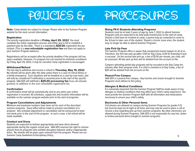# POLICIES & PROCEDURES

**Note**: Camp details are subject to change. Please refer to the Summer Program website for the most current information.

#### **Registration**

The priority registration deadline is **Friday, April 29, 2022**. You must complete the online registration process and either pay in full or establish a payment plan by this date. There is a mandatory **\$25.00** registration fee per student. (This is a **non-refundable registration fee** and does not apply to your Summer Program balance.)

Registrations will be accepted after the priority deadline if the program still has space available. However, if a program has not reached its minimum enrollment by Friday, April 29, 2022, it may be canceled. Early registration is encouraged.

#### **Withdrawal/Refund**

The last day to withdraw and receive a refund is **Thursday, May 19, 2022**. No refunds will be given after this date unless there is a case of critical illness or a family emergency. Such situations will be handled on a case-by-case basis, and will only be considered if notification is received prior to the start of the specific program. SAA-SDS will withhold a **\$25.00 processing fee** from all refunds granted, in addition to the non-refundable registration fee.

#### **Confirmation**

A confirmation email will be automatically sent to you when your online registration is received. All schedules, supply lists and location information will be available on the summer program website prior to the start of programs.

#### **Program Cancellations and Adjustments**

Minimum and maximum numbers have been set for each of the described summer programs. Every effort will be made to prevent cancellation of a program. Any schedule adjustment or cancellation will be announced at least one week prior to the start of the program. In such a case, a full refund will be made available.

#### **Conduct and Dress**

Students are expected to behave appropriately and wear dress deemed appropriate during the regular school year. SAA-SDS reserves the right to remove anyone from its programs who exhibits disruptive behavior and/or inappropriate dress. No refunds will be given upon removal from the program. Please see our Summer Camp Guidelines & Disciplinary Policy.

#### **Rising PK-K Students Attending Programs**

Students must be at least 3 years of age by June 1, 2022 to attend Summer Programs and are expected to be fully potty-trained prior to the start of camp. Should a child have an incident at camp, a parent may be contacted to come to the School to take care of the student. Should a chronic issue arise, the student may no longer be able to attend Summer Programs.

#### **Late Pick-Up Fees**

The Summer Program office is aware that unexpected events happen to all of us. Therefore, the first late pick-up (after 3:00 for Day Camp, 6:00 for Extended Care) is excused. On the second late pick-up, a fee of \$1.00 per minute, per child, will be assessed. All late pick up fees will be debited from the account on file.

Campers attending partial-day programs will be escorted to the Day Camp ten minutes after their program ends. If a child is checked in to Day Camp, a fee of \$20 will be debited from the account on file.

#### **Peanut-Free Campus**

SAA-SDS is a peanut-free campus. Any lunches and snacks brought to Summer Programs must adhere to this policy.

#### **Allergies & Medical Conditions**

It is extremely important that the Summer Program Staff be made aware of any allergies or medical conditions that may affect your child's camp experience. You must provide the Summer Program Staff with all information and medications necessary to ensure your child's safety.

#### **Electronics & Other Personal Items**

Cell phones are allowed on campus during Summer Programs for grades 5-8, but must be kept out of sight at all times and may only be used to place a call or receive a text regarding pick up from summer programs. No other electronics are allowed during Summer Programs. SAA-SDS is not responsible for any lost, stolen or broken personal items brought to summer programs.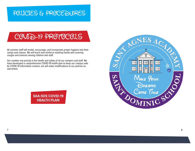### POLICIES & PROCEDURES

### COVID-19 PROTOCOLS

All summer staff will model, encourage, and incorporate proper hygiene into their camps and classes. We will teach and reinforce washing hands and covering coughs and sneezes among children and staff.

Our number one priority is the health and safety of all our campers and staff. We have developed a comprehensive COVID-19 health plan to keep our campus safe. As COVID-19 information evolves, we will make modifications to our policies as warranted.

> **[SAA-SDS COVID-19](https://www.saa-sds.org/Images/UploadDocs/HealthPlan22421_20210224223037.pdf) [HEALTH PLAN](https://www.saa-sds.org/health-plan)**

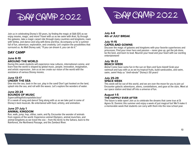Join us in celebrating Disney's 50 years, by finding the magic at SAA-SDS as we enjoy movies, magic, and more! Travel with us as we swim with Ariel, fly through the galaxies, take a magic carpet ride through many countries and kingdoms, roam with Simba, and dance and sing with Anna and Elsa. Accompany us for a summer full of fun, adventure, exploration, and creativity. Let's explore the possibilities that surround us. As Walt Disney said, "If you can dream it, you can do it."

#### **DAY CAMP**

#### **June 6-10 AROUND THE WORLD**

During this week students will experience new cultures, international cuisine, and learn how the world is shaped by global music, people, innovation, imagination, and artistic expression. Join us as we create our vision of the world with the assistance of various Disney movies.

#### **June 13-17 UNDER THE SEA**

Dive into the sea, bask in the sun, play in the sand! Don't get hooked on the land, splash into the sea, and roll with the waves. Let's explore the wonders of water.

#### **June 20-24 SOUNDS OF MUSIC**

#### Supercalifragilisticexpialidocious!

It's a week of song and dance! Sing along with us as we take part in some of Disney's best musicals. Be entertained with food, artistry, and animation.

#### **June 27-July 1 ANIMAL KINGDOM**

Run, walk, jump, hop, slither, swim, and fly. Encounter the wonder of animals from regions of the world. Experience animal Olympics, animal munchies, and animal kingdoms as we travel the zoo – from the Arctic to the Sahara, back to the Rainforest, the Northwest Passage, and the Zambezi River.

# DAY CAMP 2022 DAY CAMP 2022

#### **July 4-8 4th of JULY BREAK**

#### **July 11-15 CAPES AND GOWNS**

Discover the magic of galaxies and kingdoms with your favorite superheroes and princesses. Find your inner hero and passion – never give up, get the job done, be the best, and learn to lead. Nourish your head and your heart with our exciting entertainment!

#### **July 18-22 BEACH WEEK**

Aloha! Come have some fun in the sun on Stars and Suns Island! Grab your swimsuit and luau with us as we try tropical fruits, build sandcastles, and swim, swim, swim! Help us "shell-ebrate" Disney's 50 years!

#### **July 25-29 SPACE WEEK**

This week will be out of this world, and we are over the moon for you to join us! Encounter galactic adventures, aliens, constellations, and gaze at the stars. Meet at our space station and blast off into a universe of fun.

#### **August 1-5 THE HAPPILY EVER AFTER**

The future is wide open! Join us to celebrate the dreams that came true at St Agnes-St. Dominic this summer and enjoy a week of just magical fun! We'll make it a memorable week that students can carry with them into the new school year.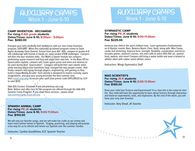

#### **CAMP INVENTION - RECHARGE! For rising K-6th grade students Dates/Times: June 6-10; 8:30am - 3:00pm Fee: \$260.00**

Energize your kid's creativity and confidence with our new Camp Invention program, EXPLORE! When this nationally acclaimed program comes to Saint Agnes Academy-Saint Dominic School from June 6th -10th, campers in grades K-6 will collaborate with friends in hands-on, open-ended STEM challenges. Campers will dive into four modules daily. Our Make a Splash module has campers performing ocean research and they will adopt their own fish. In the Blast Off for Spacecation module, campers will create space packs and astro-arm devices to be used during their "spacecation". Campers will build their own robotic artist while learning about how inventions have changed the way people create. And finally campers will zigzag through physics, engineering, and gaming as they build a mega Marble Arcade! Each activity is designed to inspire curiosity, spark imaginations, and give your young innovator the best summer ever. Visit [invent.org/camp](https://invent-web.ungerboeck.com/programsearch/moreinfo.aspx?event=37529) to secure your spot! (Use promo code EXPLORE25 by 3/31 to save \$25)

SAA-SDS Contact: Elizabeth Frank (efrank@saa-sds.org) Note: Before and after care for this program are offered through the SAA-SDS Summer Camp Program. If you need these services, please email [eda-summercamp.@saa-sds.org](mailto:eda-summercamp.%40saa-sds.org?subject=).

**SPANISH ANIMAL CAMP For rising PK-JK students Dates/Times: June 6-10; 9:00-11:30am Fee: \$100.00**

We will sing our favorite songs, and we will make fun crafts as we review and learn more animal names in Spanish. Singing, practicing, and playing will provide a fun way for us to refresh and renew our Spanish over the summer months.

Instructor: Cynthia Goodfellow, ECC Spanish Teacher ntructor: Cynthia Goodfellow, ECC Spanish Teacher<br>11

### AUXILIARY CAMPS Week 1 - June 6-10

#### **GYMNASTIC CAMP For rising PK-JK students Dates/Times: June 6-10; 9:00-11:30am Fee: \$225.00**

Immerse you child in the sport children love. Learn gymnastics fundamentals on 4 Olympic events: Bars, Balance Beam, Floor, Vault, along with Mini-Tramp, cardio and stretching. Improve form, strength, flexibility, coordination, and focus. Includes games, obstacle courses, arts and crafts & snack (100-150 cal., peanut free), awards, and more! Campers will bring a water bottle and wear a leotard or athletic attire with rubber-soled athletic shoes.

Instructors: Wings Gymnastics Staff

#### **MAD SCIENTISTS For rising JK-K students Dates/Times: June 6-10; 9:00-11:30am Fee: \$165.00**

Does your child love Science and Experiments? If so, then this is the camp for him/ her. Your child will have the opportunity to learn about Science through interactive and hand-on experiments, tests, and explosions. By the end of the week, you will have your very own Scientist.

Instructor: Amy Shoaf, JK Teacher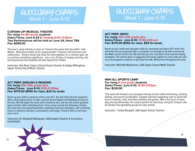### AUXILIARY CAMPS Week 1 - June 6-10

### AUXILIARY CAMPS Week 1 - June 6-10

#### **CURTAIN UP! MUSICAL THEATRE For rising 1st-8th grade students Dates/Times: June 6-24 (3 weeks); 9:00-11:30am Two Performances will be held on June 24, times TBA Fee: \$350.00**

This year's camp will help us learn to "harness the power that lies within" with Moana. What does theatre do for young people? It teaches self-discovery and selflessness. Theatre shows that when we work together on a common goal, we can achieve something magnificent. Join us for 23 days of singing, dancing, and learning lessons that students will take beyond the theatre.

Instructor: Ann Neal, Upper School Drama Teacher & Gabby Willingham, Upper School Vocal Music Teacher

#### **ACT PREP: MATH For rising 10th-12th grade girls Dates/Times: June 6-10; 12:00-2:00 pm Fee: \$175.00 (\$150 for class, \$25 for book)**

Brush up your math and calculator skills for upcoming and future ACT tests! You will enter the test prepared after a complete run through of all skills covered by the Math section of the test. We will also go over calculator tricks and test taking strategies. You will be given a suggested self study regimen to carry with you and are encouraged to continue to get help from Ms. McEachron throughout the year.

Instructor: Michelle McEachron, SAA Upper School Math Teacher

#### **ACT PREP: ENGLISH & READING For rising 10th-12th grade girls Dates/Times: June 6-10; 9:30-11:30am Fee: \$175.00 (\$150 for class, \$25 for book)**

Brush up your skills in advance of the June ACT. You will enter the test prepared after a thorough practice of skills covered by the English and Reading sections of the test. We will begin the week with a baseline test, and we will review question types and the skills underlying them. Focus areas include the following: finding the main idea and supporting detail, analyzing rhetorical strategies, and correcting errors in sentence structure, punctuation, and usage. Practice with us and raise your score!

Instructor: Dr. Elizabeth McIngvale, SAA English Teacher & Curriculum Coordinator

#### **MINI ALL SPORTS CAMP For rising K-2nd grade students Dates/Times: June 6-10; 12:30-3:00pm Fee: \$120.00**

This week will introduce our youngest champs to basic skills of throwing, catching, kicking, and overall coordination. Campers will learn beginning rules to sports like soccer, bowling, t-ball, and other activities and games. With a fun focus on team play and sportsmanship, this camp is perfect for both boys and girls! Campers will be divided into age/ability groups for each activity.

Instructor : Carley Bergdoll, SAA Upper School Teacher

13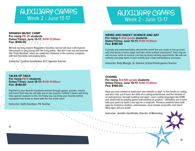### AUXILIARY CAMPS Week 2 - June 13-17

### AUXILIARY CAMPS Week 2 - June 13-17

#### **SPANISH MUSIC CAMP For rising PK-JK students Dates/Times: June 13-17; 9:00-11:30am Fee: \$100.00**

We will not only explore Reggaeton favorites, but we will also craft musical instruments to play along with the lively beats. But don't rule out old favorites like "Feliz Navidad" when we celebrate Christmas in the summer complete with hot chocolate and jingling bells.

Instructor: Cynthia Goodfellow, ECC Spanish Teacher

**TALES OF TAILS For rising PK-K students Dates/Times: June 13-17; 9:00-11:30am Fee: \$140.00**

Experience your favorite storybook animals through games, puzzles, snacks, and more! Each day we will take one or two popular children's books and bring their special creatures to life. On Friday you can bring your favorite animal storybook from home to share with the rest of the class!

Instructor: Kathi Davidson, PK Teacher

**WEIRD AND WACKY SCIENCE AND ART For rising K-2nd grade students Dates/Times: June 13-17; 9:00-11:30am Fee: \$180.00**

Curiosity and experimentation abound this week! Are you ready to mix up some wild and wacky science magic and take some outdoor adventures? Each day we will uncover some of science's secrets by doing exciting experiments. We will use ordinary everyday items in each activity and create extraordinary outcomes.

Instructor: Kelly Mungle, St. Dominic School Kindergarten Teacher

#### **CODING For rising 3rd-6th grade students Dates/Times: June 13-17; 9:00-11:30am Fee: \$180.00**

Have you ever wanted to build your own website or app? In this hands-on coding and tech club, you'll learn the skills of a coding professional, and the mindset of an entrepreneur, through building real apps! Learn coding languages like HTML and JavaScript by playing games and working on projects. Ultimately, you'll work with your peers to build a real app for a nonprofit. Previous students have built apps for homeless shelters, veterinarians, local climate nonprofits, and more! What apps will you build?

Instructor: Jennifer Gionfriddo, Director of Marketing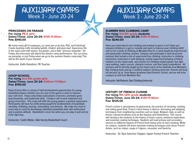### AUXILIARY CAMPS Week 3 - June 20-24

#### **PRINCESSES ON PARADE For rising PK-K girls Dates/Times: June 20-24; 9:00-11:30am Fee: \$140.00**

We know every girl is a princess, so come join us for fun, frills, and frolicking! Create dazzling crafts including wands, crowns, and pixie dust. Experience life in the royal court with stories, tea parties, and a little "princess etiquette". On Friday, the princesses will attend the theatre camp performance. You can dress up everyday, or just Friday when we go to the summer theatre camp play! This will be the week of your dreams!

Instructor: Kathi Davidson, PK Teacher

#### **HOOP SCHOOL For rising 2nd-5th grade girls Dates/Times: June 20-24; 9:00am-11:30pm Fee: \$150.00**

Hoop School offers a variety of skill development opportunities for young basketball players whether you are new to the game or want to improve your skill level. Hoop camp helps build players character, promotes good sportsmanship, and leadership skills. Campers will receive individual and group instruction. This camp will offer the young players a positive experience. Participants will have fun while being taught the fundamentals of basketball; shooting, dribbling, passing, rebounding, and defense. We make the most of every day at camp by developing individual basketball skills with enthusiasm and a positive attitude. Basketball is more fun when you can play it well and do it the right way.

Instructor: Caitlin Motte, SAA Varsity Basketball Coach

### AUXILIARY CAMPS Week 3 - June 20-24

**SUMMER ROX CLIMBING CAMP For rising 3rd-5th grade students Dates/Times: June 20-24; 9:00-11:30am Fee: \$240.00**

Have you heard about rock climbing and wanted to give it a try? Have you enjoyed climbing in a gym or outside and want to improve your climbing skills? Join us for a week of climbing at Memphis Rox for a camp taught by experienced and passionate climbing coaches. Campers will participate in well structured sessions that include a mix of supervised free climbing, instruction in climbing movement, instruction in safe belaying, closely supervised belaying of fellow climbers on the roped walls, and various fun climbing related games like tight rope walking, ropes courses, obstacle courses, and knot tying competitions. All sessions will be directly taught by the head coach of the nationals level Memphis Rox climbing team and by a certified outdoor climbing instructor. Parents will drop off and pick up at Saint Agnes Academy-Saint Dominic School, and we will drive campers to and from Memphis Rox.

Instructor: Hal Roberts, Rox Climbing Instructor

#### **HISTORY OF FRENCH CUISINE For rising 9th-12th grade students Dates/Times: June 20-24; 9:00-11:30am Fee: \$125.00**

French cuisine is synonymous to gastronomy, the practice of choosing, cooking, and eating good food. France's food history is diverse, borrowing and adapting techniques from neighboring countries such as Spain, Belgium, Italy, as well as former colonial territories such as the Guianas and Pondicherry. This course will introduce the students to the history of haute cuisine, botanical exploration, and essential cooking techniques. Students will read primary and secondary sources on different aspects of French food history prior to each meeting. While on campus, students will learn essential cooking techniques and classic French dishes, such as crêpes, soupe à l'oignon, cassoulet, and flamiche.

Instructor : Dr. Kyra Sanchez Clapper, Upper School French Teacher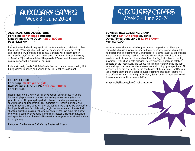### AUXILIARY CAMPS Week 3 - June 20-24

#### **AMERICAN GIRL ADVENTURE For rising 1st-4th grade students Dates/Times: June 20-24; 12:30-3:00pm Fee: \$225.00**

Be imaginative, be bold, be playful! Join us for a week-long celebration of our favorite dolls! Your daughter will love this opportunity to learn, get creative and spend time with friends old and new! Campers will blossom as they create accessories for their dolls, make treats and learn all about the history of American Girls. All materials will be provided! We will end the week with a pajama party and fun surprise for each girl.

Instructor: Kelly Healy, SAA 6th Grade Teacher, Jamie Lassandrello, SAA Kindergarten Teacher, and Renee Price, JK Teacher's Assistant

**HOOP SCHOOL For rising 6th-8th grade girls Dates/Times: June 20-24; 12:30pm-3:00pm Fee: \$150.00**

Hoop School offers a variety of skill development opportunities for young basketball players whether you are new to the game or want to improve your skill level. Hoop camp helps build players character, promotes good sportsmanship, and leadership skills. Campers will receive individual and group instruction. This camp will offer the young players a positive experience. Participants will have fun while being taught the fundamentals of basketball; shooting, dribbling, passing, rebounding, and defense. We make the most of every day at camp by developing individual basketball skills with enthusiasm and a positive attitude. Basketball is more fun when you can play it well and do it the right way.

Instructor: Caitlin Motte, SAA Varsity Basketball Coach

### AUXILIARY CAMPS Week 3 - June 20-24

#### **SUMMER ROX CLIMBING CAMP For rising 6th-12th grade students Dates/Times: June 20-24; 12:30-3:00pm Fee: \$240.00**

Have you heard about rock climbing and wanted to give it a try? Have you enjoyed climbing in a gym or outside and want to improve your climbing skills? Join us for a week of climbing at Memphis Rox for a camp taught by experienced and passionate climbing coaches. Campers will participate in well structured sessions that include a mix of supervised free climbing, instruction in climbing movement, instruction in safe belaying, closely supervised belaying of fellow climbers on the roped walls, and various fun climbing related games like tight rope walking, ropes courses, obstacle courses, and knot tying competitions. All sessions will be directly taught by the head coach of the nationals level Memphis Rox climbing team and by a certified outdoor climbing instructor. Parents will drop off and pick up at Saint Agnes Academy-Saint Dominic School, and we will drive campers to and from Memphis Rox.

Instructor: Hal Roberts, Rox Climbing Instructor

 $\bullet$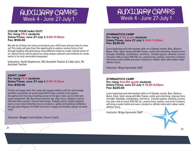### AUXILIARY CAMPS Week 4 - June 27-July 1

### AUXILIARY CAMPS Week 4 - June 27-July 1

#### **COLOR YOUR heArt OUT! For rising PK-K students Dates/Times: June 27-July 1; 9:00-11:30am Fee: \$140.00**

We will do all those fun messy art projects your child loves and you hate to clean up! This camp will give them the opportunity to explore various forms of art through building and destroying using different media to create colorful works of art. Special focus will be placed on using unique materials and methods to create works of art and memorable keepsakes.

Instructors: Sarah Stepherson, PK2 Assistant Teacher & Libby Lynn, PK Assistant Teacher

**KIDFIT CAMP For rising PK-K students Dates/Times: June 27-July 1; 9:00-11:30am Fee: \$120.00**

Fit kids are happy kids! This camp will engage children with fun and friendly activities and games all week long! KidFit Camp consists of fun games throughout the morning including access to the gym, track, soccer field and sports equipment. We play freeze and line tag, relay races, obstacle courses, ultimate dance parties, musical hula hoops, multiple sports, bubble popping and so much more! Activities focus on balance, agility and building confidence through play! Register for KidFit and have a happy and healthy camper all week long!

Instructor: Maggie Leone Glaser, Soccer Coach

#### **GYMNASTICS CAMP For rising K-1st grade students Dates/Times: June 27-July 1; 9:00-11:30am Fee: \$225.00**

Learn beginning and intermediate skills on 4 Olympic events: Bars, Balance Beam, Floor, Vault, along with Mini-Tramp, cardio and stretching. Improve form, strength, flexibility, coordination, and focus. Includes games, obstacle courses, arts and crafts & snack (100-150 cal., peanut free), awards, and more! Campers will bring a water bottle and wear a leotard or athletic attire with rubber-soled athletic shoes.

Instructor: Wings Gymnastic Staff

#### **GYMNASTICS CAMP For rising 2nd-4th grade students Dates/Times: June 27-July 1; 12:30-3:00pm Fee: \$225.00**

Learn beginning and intermediate skills on 4 Olympic events: Bars, Balance Beam, Floor, Vault, along with Mini-Tramp, cardio and stretching. Improve form, strength, flexibility, coordination, and focus. Includes games, obstacle courses, arts and crafts & snack (100-150 cal., peanut free), awards, and more! Campers will bring a water bottle and wear a leotard or athletic attire with rubber-soled athletic shoes.

Instructor: Wings Gymnastic Staff®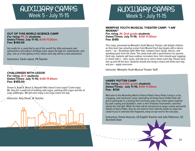### AUXILIARY CAMPS Week 5 - July 11-15

#### **OUT OF THIS WORLD SCIENCE CAMP For rising PK-JK students Dates/Times: July 11-15; 9:00-11:30am Fee: \$140.00**

Get ready for a camp that is out of this world! Our little astronauts and astronomers will explore all things outer space through art, experiments, and play. Join us in this galaxy of fun, where each day will be a new adventure!.

Instructors: Sarah Joyner, PK Teacher

#### **CHALLENGES WITH LEGOS! For rising JK-K students Dates/Times: July 11-15; 9:00-11:30am Fee: \$165.00**

Dream It, Build It, Wreck It, Repeat!! Who doesn't love Legos? Come enjoy Ms. Amy for a week full of building with Legos, painting with Legos and lots of Lego challenges. We will even enjoy a fun Lego snack one day.

Instructor: Amy Shoaf, JK Teacher



### AUXILIARY CAMPS Week 5 - July 11-15

#### **MEMPHIS YOUTH MUSICAL THEATER CAMP: "I AM MOANA!" For rising JK–2nd grade students Dates/Times: July 11-15; 9:00-11:30am Fee: \$185**

This camp, presented by Memphis Youth Musical Theater, will delight children as they learn two amazing scenes from Moana! Each day begins with a dance warm – up – Broadway style! After that, campers learn songs, dances, and speaking parts from the show. The camp ends with a performance for parents. Each day, students will have outdoor recreation time. Girls should wear leggings or shorts with t – shirt, socks, and slip-on or velcro shoes each day. Please wear hair up and off the face. Students should also bring a snack and drink each day and pre – apply sunscreen.

Instructor: Memphis Youth Musical Theater Staff

#### **HARRY POTTER CAMP For rising 2nd-5th grade students Dates/Times: July 11-15; 9:00-11:30am Fee: \$130**

Welcome to the Wizarding World of Harry Potter! Harry Potter Camp is a fun, engaging, and immersive camp celebrating all things Harry Potter! Kids will get to participate in a Sorting Hat Ceremony, play a live action game inspired by spell casting and Quidditch, enter a mini Triwizard Tournament, and then attend the Yule Ball. While the kids will be introduced to larger events and world details of Harry Potter, they do not need to have read the books to enjoy the camp! If you're selected into Hogwarts, keep an eye out for the owl post...

Instructors: Emma Vescovo, US English Teacher and Julie Patterson, US Assistant Dean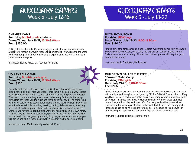### AUXILIARY CAMPS Week 5 - July 12-16

### AUXILIARY CAMPS Week 6 - July 18-22

#### **CHEMIST CAMP For rising 1st-3rd grade students Dates/Times: July 11-15; 12:30-3:00pm Fee: \$150.00**

Calling all little Chemists. Come and enjoy a week of fun experiments! Each Student will receive a Crayola Arctic Lab chemistry kit. We will spend the week working through the kit performing all the experiments. We will also make a yummy snack everyday.

Instructor: Renee Price, JK Teacher Assistant

#### **VOLLEYBALL CAMP For rising 5th-8th grade girls Dates/Times: July 11-15; 12:30-3:00pm Fee: \$150**

Our volleyball camp is for players at all ability levels that would like to play middle school or junior high volleyball. This camp is also a great way to learn about SAA Volleyball and the strong culture that drives the program forward! Whether you are a true beginner or want to be ready for tryouts, the camp instructors can teach you the skills and techniques you need! The camp is run by the SAA varsity head coach, Jared Marks and his coaching staff. Players will learn fundamental skills including passing, setting, defense, serve, attacking, ball control, and incorporate these skills into game like drills and sequences. Campers will have the opportunity to work first hand with some of SAA varsity staff and players. Respect, teamwork, sportsmanship, and hard work will be emphasized. This is a great opportunity to grow your game and we hope you will join us and take it to the next level! We cannot wait to see you at camp!

Instructor: Jared Marks, Varsity Volleyball Coach

**BOYS, BOYS, BOYS! For rising PK-K boys Dates/Times: July 18-22; 9:00-11:30am Fee: \$140.00**

Pirates, dirt, cars, dinosaurs and more! Explore everything boys like in one week! Boys will dig for dinosaurs, build stuff, and explore our campus inside and out. Daily adventures and a variety of indoor and outdoor games will keep the guys happy all week long!

Instructor: Kathi Davidson, PK Teacher

#### **CHILDREN'S BALLET THEATER "Frozen" Ballet Camp**

**For rising PK-K girls Date: July 19-23; 9:00-11:30am Fee: \$185** 

In this camp, girls will learn the beautiful art of French and Russian classical ballet with a unique and fun syllabus designed by Children's Ballet Theater director Mary Van Dyke. Included each day is ballet class, choreography from a new story-ballet of "Frozen"! Included in camp is Frozen and ballet story-time, dress-up/ballet dance time, outdoor play, and arts/crafts. The camp ends with a parent show. Dancers need to wear a pink leotard, ballet skirt, ballet shoes, and bobby socks. Please send slip-on or velcro shoes for outside. Hair should be in a ponytail or bun. Please pre – apply sunscreen and bring a snack and drink each day.

Instructor: Children's Ballet Theater Staff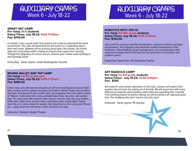### AUXILIARY CAMPS Week 6 - July 18-22



**SMART ART CAMP For rising JK-K students Dates/Times: July 18-22; 9:00-11:30am Fee: \$140.00**

A scientist is also a great artist! They explore and create to understand the world around them. This class will blend both art and science in a captivating way to learn and create. Students will be learning about topics like animals, the human body and conservation while creating art projects that support their learning. Through the integration of science and art, students gain a better understanding of their beautiful world!

Instructors : Sarah Joyner, Junior Kindergarten Teacher

**MOANA BALLET AND TAP CAMP For rising 1st-4th grade girls Dates/Times: July 18-22; 9:00-11:30am Fee: \$185.00**

In this camp, girls will learn the beautiful art of French and Russian classical ballet with a unique and fun syllabus designed by Children's Ballet Theater director Mary Van Dyke. Included each day is ballet class, choreography from a fun ballet version of "Moana", ballet story-time, dress-up/ballet dance time, tap class, and outdoor play. The camp ends with a parent show. Dancers need to wear any color leotard, ballet skirt, ballet shoes and tap shoes, and bobby socks or pink tights. Please send slip-on or velcro shoes for outside. Hair should be in a bun or ponytail. Please pre – apply sunscreen and bring a snack and drink each day. 

Instructor: Children's Ballet Theater

#### **ROBOTICS WITH VEX IQ For rising 3rd-6th grade students Dates/Times: July 18-22; 9:00-11:30am Fee: \$150.00**

Join us for this exciting camp that will introduce campers to robotics and basic programming. This engaging camp will foster student development of the teamwork, critical thinking, project management, and communication skills required to prepare them to become the next generation of innovators and problem solvers.

Instructors: David Tran, US Chemistry Teacher

#### **ART-RAGEOUS CAMP!**

**For rising 1st-3rd grade students Dates/Times: July 19-23; 12:30-3:00pm Fee: \$150**

Get ready for some artistic adventures! In this class, campers will explore their creative side and have fun making art of all kinds. We will experiment with many different art materials while building artistic skills and expanding their creativity. From painting projects to jewelry making, we will be having a art-rageously good time. Your budding artist won't want to miss this class!

Instructor: Sarah Joyner, PK Teacher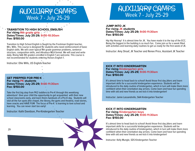### AUXILIARY CAMPS Week 7 - July 25-29

#### **TRANSITION TO HIGH SCHOOL ENGLISH For rising 9th grade girls Dates/Times: July 25-29; 9:00-10:30am Fee: \$150.00**

Transition to High School English is taught by the Freshman English teacher, Mrs. Wills. This course is designed for students who need reinforcement of basic English skills. We will cover typical 9th grade grammar problems, sentence structure, composition skills, and introduce MLA format. We will read and write daily. Rising SAA 9th graders enrolled in English 1 are welcome. This course is not recommended for students entering Honors English 1.

Instructor: Ellie Wills, US English Teacher

**GET PREPPED FOR PRE-K For rising PK students Dates/Times: July 25-29; 9:00-11:30am Fee: \$150.00**

Take the first big step from PK2 toddlers to Pre-K through this weeklong adventure! Give your child the opportunity to get acquainted with their new school classrooms early, and learn theirs handouts of a Pre-K day. Students will visit all the fun spots (the chapel, the library, the gyms and theatre), read stories, have snacks and HAVE FUN! The focus of Pre-K is learning to love school and learning. You can never start too early!

Instructor: Kathi Davidson, Pre-Kindergarten Teacher

### AUXILIARY CAMPS Week 7 - July 25-29

**JUMP INTO JK For rising JK students Dates/Times: July 25-29; 9:00-11:30am Fee: \$150.00**

Hip Hip Hooray! It is almost time for JK. You have made it to the top of the ECC. Being the biggest in the building is so much fun. Come join us for a week filled with activities and learning daily routines to get us ready for the first week of JK.

Instructor: Amy Shoaf, JK Teacher and Renee Price, Assistant JK Teacher

#### **KICK IT INTO KINDERGARTEN For rising Kindergarten girls Dates/Times: July 25-29; 9:00-11:30am Fee: \$150.00**

It's almost time to head back to school! Avoid those first day jitters and learn important skills for a successful kindergarten experience. Students will be introduced to the daily routine of kindergarten, which in turn will make them more confident when their orientation day arrives. Come learn and have fun spending time with old and new friends as we kick it into kindergarten!

Instructor: Jamie Lassandrello, SAA Kindergarten Teacher

#### **KICK IT INTO KINDERGARTEN For rising Kindergarten boys Dates/Times: July 25-29; 9:00-11:30am Fee: \$150.00**

It's almost time to head back to school! Avoid those first day jitters and learn important skills for a successful kindergarten experience. Students will be introduced to the daily routine of kindergarten, which in turn will make them more confident when their orientation day arrives. Come learn and have fun spending time with old and new friends as we kick it into kindergarten!

Instructor: Kelly Mungle, SDS Kindergarten Teacher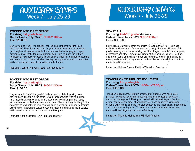### AUXILIARY CAMPS Week 7 - July 25-29

### AUXILIARY CAMPS Week 7 - July 25-29

#### **ROCKIN' INTO FIRST GRADE For rising 1st grade boys**

**Dates/Times: July 25-29; 9:00-11:30am Fee: \$150.00** 

Do you want to "rock" first grade? Feel cool and confident walking in on the first day? Then this is the camp for you! Reconnecting with your friends (and maybe making new ones) in this academically challenging and happy environment will make for a smooth transition. Give your son the gift of a headstart this school year. Your child will enjoy a week full of engaging learning activities that incorporate valuable reading, math, grammar, and social studies skills, essential for a smooth transition into first grade.

Instructor: Lauren Harkess, SDS 1st grade teacher

#### **ROCKIN' INTO FIRST GRADE For rising 1st grade girls Dates/Times: July 25-29; 9:00-11:30am Fee: \$150.00**

Do you want to "rock" first grade? Feel cool and confident walking in on the first day? Then this is the camp for you! Reconnecting with your friends (and maybe making new ones) in this academically challenging and happy environment will make for a smooth transition. Give your daughter the gift of a headstart this school year. Your child will enjoy a week full of engaging learning activities that incorporate valuable reading, math, grammar, and social studies skills, essential for a smooth transition into first grade.

Instructor: Jane Grafton, SAA 1st grade teacher

#### **SEW IT ALL For rising 2nd-5th grade students Dates/Times: July 25-29; 9:00-11:30am Fees: \$335.00**

Sewing is a great skill to learn and utilize throughout your life. This class will focus on learning the fundamentals of sewing. Students will create 6-8 guided sewing projects on a sewing machine. Projects include home, apparel, accessories and play. Students will create stuffed animals, pillows, tote bag, and more. Some of the skills learned are hemming, top stitching, encasing elastic, and mastering straight seams. All supplies such as fabric and notions are included in your fee.

Instructor: Heiress Brown, Fashion Workshop Director

#### **TRANSITION TO HIGH SCHOOL MATH For rising 9th grade girls Dates/Times: July 25-29; 11:00am-12:30pm Fee: \$150.00**

Transition to High School Math is designed for students who need more practice in order to have a firm grasp with the math concepts necessary for success in Algebra 1. The topics covered will include integers, fractions, exponents, percents, order of operations, area and perimeter, simplifying variable expressions, one and two step equations and inequalities, proportions, and coordinates and graphs. This course is not recommended for students entering Honors Algebra 1 or Honors Geometry.

Instructor: Michelle McEachron, US Math Teacher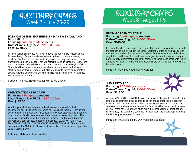

#### **FASHION DESIGN EXPERIENCE - MAKE A SHAWL AND SKIRT DESIGN For rising 2nd-5th grade students Dates/Times: July 25-29; 12:30-3:00pm Fees: \$270.00**

Fashion Design Experience will give students the opportunity to learn about Fashion design. Students will start by learning how to operate a sewing machine. Students will receive sketching lessons so they understand how to translate their ideas to paper. They will select the design silhouette, fabric, and trim combination. We will discuss and sketch various fabric and styles of skirts. Students will be shown how to encase elastic, make a waistband, straight stitching and hemming. Students will also learn how to thread and operate a sewing machine and create a shawl to finalize the finishing look. All supplies are included in your fee.

Instructor: Heiress Brown, Fashion Workshop Director

#### **CHECKMATE CHESS CAMP For rising K-5th grade students Dates/Times: July 25-29; 12:30-3:00pm Fee: \$145.00**

Whether your child has ever touched a chess piece or can defeat all challengers, our Chess Camp welcomes you to a chess camp for learning and achievement. Mid-South Chess instructors are college students and graduates hand selected for skill, competence, and experience in coaching chess. This camp is designed for rising K-5th graders, beginners and beyond. Campers will receive a special chess medal on the last day. LOADS OF FUN WHILE EDUCATING YOUR CHILD IN THE AWESOME GAME OF CHESS. Check out this noble game that Mid-South Chess considers an Art, a Science, and a Sport. See you across the board.

**Instructor: Midsouth Chess Coaches 34** 

### AUXILIARY CAMPS Week 8 - August 1-5

#### **FROM GARDEN TO TABLE For rising 4th-6th grade students Dates/Times: Aug. 1-5; 9:00-11:30am Fees: \$140.00**

Ever wonder where your food comes from? This camp is for you! We will spend the first part of the morning in the school Learning Garden doing basic garden maintenance and will harvest what's available from an assortment of delicious vegetables and herbs. Then we'll take these goodies into the kitchen and prepare a variety of interesting dishes for campers to sample and share with family. Students will have fun while learning basic culinary skills and tips for growing a bountiful harvest.

Instructor: Mary-Lee Hood, Master Gardner



**JUMP INTO SAA For rising SAA 9th grade girls Dates/Times: Aug. 1-3; 9:00-11:30am Fees: \$115.00**

Are you NEW to SAA ? This MUST HAVE course will make your transition to SAA smooth and seamless! It is designed to be fun and energetic and is specially sen by our upperclassmen are labeled the "survival skills" necessary to succeed at SAA. Areas covered are SAA study skills, time management, organization, reading tips, and everything you need to know about the SAA laptop, including the Learning Management System! •

Instructor: Mrs. Maria Smith, SAA Freshman Counselor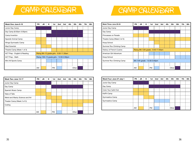### CAMP CALENDAR

### CAMP CALENDAR

| Week One: June 6-10          | РK | JK | Κ | 1st                                       | 2nd | 3rd | 4th | 5th   | 6th | 7th | 8th |
|------------------------------|----|----|---|-------------------------------------------|-----|-----|-----|-------|-----|-----|-----|
| Junior Day Camp              |    |    |   |                                           |     |     |     |       |     |     |     |
| Day Camp (8:30am-3:00pm)     |    |    |   |                                           |     |     |     |       |     |     |     |
| Camp Invention               |    |    |   |                                           |     |     |     |       |     |     |     |
| Spanish Animal Camp          |    |    |   |                                           |     |     |     |       |     |     |     |
| Wings Gymnastic Camp         |    |    |   |                                           |     |     |     |       |     |     |     |
| <b>Mad Scientist</b>         |    |    |   |                                           |     |     |     |       |     |     |     |
| Theatre Camp (Week 1 of 3)   |    |    |   |                                           |     |     |     |       |     |     |     |
| ACT Prep - English & Reading |    |    |   | Rising 9th-12 grade girls - 9:30-11:30am  |     |     |     |       |     |     |     |
| ACT Prep - Math              |    |    |   | Rising 10th-12 grade girls - 12:00-2:00pm |     |     |     |       |     |     |     |
| Mini All Sports Camp         |    |    |   |                                           |     |     |     |       |     |     |     |
|                              |    |    |   |                                           |     |     |     |       |     |     |     |
|                              | AM |    |   | <b>PM</b>                                 |     |     |     | Other |     |     |     |

| Week Three: June 20-24     | PK | JK | Κ | 1st                           | 2nd                                  | 3rd | 4th | 5th   | 6th | 7th | 8th |
|----------------------------|----|----|---|-------------------------------|--------------------------------------|-----|-----|-------|-----|-----|-----|
| Junior Day Camp            |    |    |   |                               |                                      |     |     |       |     |     |     |
| Day Camp                   |    |    |   |                               |                                      |     |     |       |     |     |     |
| Princesses on Parade       |    |    |   |                               |                                      |     |     |       |     |     |     |
| Theatre Camp (Week 3 of 3) |    |    |   |                               |                                      |     |     |       |     |     |     |
| Hoop School                |    |    |   |                               |                                      |     |     |       |     |     |     |
| Summer Rox Climbing Camp   |    |    |   |                               |                                      |     |     |       |     |     |     |
| History of French Cuisine  |    |    |   |                               | Rising 9th-12th grade - 9:30-11:00am |     |     |       |     |     |     |
| American Girl Adventure    |    |    |   |                               |                                      |     |     |       |     |     |     |
| Hoop School                |    |    |   |                               |                                      |     |     |       |     |     |     |
| Summer Rox Climbing Camp   |    |    |   | 6th-12th grade - 12:30-3:00pm |                                      |     |     |       |     |     |     |
|                            |    |    |   |                               |                                      |     |     |       |     |     |     |
|                            | AM |    |   | <b>PM</b>                     |                                      |     |     | Other |     |     |     |

| Week Two: June 13-17            | <b>PK</b> | <b>JK</b> | Κ | 1st       | 2nd | 3rd | 4th | 5th   | 6th | 7th | 8th |
|---------------------------------|-----------|-----------|---|-----------|-----|-----|-----|-------|-----|-----|-----|
| Junior Day Camp                 |           |           |   |           |     |     |     |       |     |     |     |
| Day Camp                        |           |           |   |           |     |     |     |       |     |     |     |
| Spanish Music Camp              |           |           |   |           |     |     |     |       |     |     |     |
| <b>Tales of Tails</b>           |           |           |   |           |     |     |     |       |     |     |     |
| Weird and Wacky Science and Art |           |           |   |           |     |     |     |       |     |     |     |
| Theater Camp (Week 2 of 3)      |           |           |   |           |     |     |     |       |     |     |     |
| Coding                          |           |           |   |           |     |     |     |       |     |     |     |
|                                 |           |           |   |           |     |     |     |       |     |     |     |
|                                 | AM        |           |   | <b>PM</b> |     |     |     | Other |     |     |     |

| Week Four: June 27-July 1 | <b>PK</b> | JK | к | 1st       | 2nd | 3rd | 4th | 5th   | 6th | 7th | 8th |
|---------------------------|-----------|----|---|-----------|-----|-----|-----|-------|-----|-----|-----|
| Junior Day Camp           |           |    |   |           |     |     |     |       |     |     |     |
| Day Camp                  |           |    |   |           |     |     |     |       |     |     |     |
| Color Your heArt Out      |           |    |   |           |     |     |     |       |     |     |     |
| KidFit Camp               |           |    |   |           |     |     |     |       |     |     |     |
| <b>Gymnastics Camp</b>    |           |    |   |           |     |     |     |       |     |     |     |
| <b>Gymnastics Camp</b>    |           |    |   |           |     |     |     |       |     |     |     |
|                           |           |    |   |           |     |     |     |       |     |     |     |
|                           | AM        |    |   | <b>PM</b> |     |     |     | Other |     |     |     |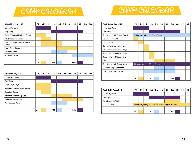## CAMP CALENDAR

| CAMP CALENDAR |  |
|---------------|--|
|---------------|--|

| Week Five: July 11-15                 | <b>PK</b> | JK | ĸ | 1st       | 2nd | 3rd | 4th | 5th   | 6th | 7th | 8th |
|---------------------------------------|-----------|----|---|-----------|-----|-----|-----|-------|-----|-----|-----|
| Junior Day Camp                       |           |    |   |           |     |     |     |       |     |     |     |
| Day Camp                              |           |    |   |           |     |     |     |       |     |     |     |
| Out of This World Science Camp        |           |    |   |           |     |     |     |       |     |     |     |
| Challenges with Legos!                |           |    |   |           |     |     |     |       |     |     |     |
| Memphis Youth Musical Theater<br>Camp |           |    |   |           |     |     |     |       |     |     |     |
| Harry Potter Camp                     |           |    |   |           |     |     |     |       |     |     |     |
| Chemist Camp                          |           |    |   |           |     |     |     |       |     |     |     |
| Volleyball Camp                       |           |    |   |           |     |     |     |       |     |     |     |
|                                       |           |    |   |           |     |     |     |       |     |     |     |
|                                       | AM        |    |   | <b>PM</b> |     |     |     | Other |     |     |     |

| Week Six: July 18-22                    | <b>PK</b> | JK | ĸ | 1st       | 2nd | 3rd | 4th | 5th   | 6th | 7th | 8th |
|-----------------------------------------|-----------|----|---|-----------|-----|-----|-----|-------|-----|-----|-----|
| Junior Day Camp                         |           |    |   |           |     |     |     |       |     |     |     |
| Day Camp                                |           |    |   |           |     |     |     |       |     |     |     |
| Boys, Boys, Boys!                       |           |    |   |           |     |     |     |       |     |     |     |
| <b>Frozen</b> Children's Ballet Theater |           |    |   |           |     |     |     |       |     |     |     |
| Smart Art Camp                          |           |    |   |           |     |     |     |       |     |     |     |
| Moana Ballet and Tap Camp               |           |    |   |           |     |     |     |       |     |     |     |
| Robotics with VEX IQ                    |           |    |   |           |     |     |     |       |     |     |     |
| Art-Rageous Camp                        |           |    |   |           |     |     |     |       |     |     |     |
|                                         |           |    |   |           |     |     |     |       |     |     |     |
|                                         | AM        |    |   | <b>PM</b> |     |     |     | Other |     |     |     |

| Week Seven: July 25-29            | <b>PK</b> | JK                                    | κ | 1st       | 2nd | 3rd | 4th | 5th   | 6th | 7th | 8th |
|-----------------------------------|-----------|---------------------------------------|---|-----------|-----|-----|-----|-------|-----|-----|-----|
| Junior Day Camp                   |           |                                       |   |           |     |     |     |       |     |     |     |
| Day Camp                          |           |                                       |   |           |     |     |     |       |     |     |     |
| Transition to High School English |           | Rising 9th grade girls - 9:00-10:30am |   |           |     |     |     |       |     |     |     |
| Get Prepped for PK                |           |                                       |   |           |     |     |     |       |     |     |     |
| Jump Into JK                      |           |                                       |   |           |     |     |     |       |     |     |     |
| Kick It Into Kindergarten - girls |           |                                       |   |           |     |     |     |       |     |     |     |
| Kick It Into Kindergarten - boys  |           |                                       |   |           |     |     |     |       |     |     |     |
| Rockin' Into First Grade - boys   |           |                                       |   |           |     |     |     |       |     |     |     |
| Rockin' Into First Grade - girls  |           |                                       |   |           |     |     |     |       |     |     |     |
| Sew It All                        |           |                                       |   |           |     |     |     |       |     |     |     |
| Transition to High School Math    |           | 9th grade girls - 11:00am-12:30pm     |   |           |     |     |     |       |     |     |     |
| <b>Fashion Design Experience</b>  |           |                                       |   |           |     |     |     |       |     |     |     |
| Check Mate Chess Camp             |           |                                       |   |           |     |     |     |       |     |     |     |
|                                   |           |                                       |   |           |     |     |     |       |     |     |     |
|                                   | AM        |                                       |   | <b>PM</b> |     |     |     | Other |     |     |     |

| Week Eight: August 1-5 | PK | JK | κ | 1st       | 2nd | 3rd | 4th | 5th                                                     | 6th | 7th | 8th |
|------------------------|----|----|---|-----------|-----|-----|-----|---------------------------------------------------------|-----|-----|-----|
| Junior Day Camp        |    |    |   |           |     |     |     |                                                         |     |     |     |
| Day Camp               |    |    |   |           |     |     |     |                                                         |     |     |     |
| From Garden to Table   |    |    |   |           |     |     |     |                                                         |     |     |     |
| Jump Into SAA          |    |    |   |           |     |     |     | Rising 9th grade girls - 9:00-11:30am - August 1-3 only |     |     |     |
|                        |    |    |   |           |     |     |     |                                                         |     |     |     |
|                        | AM |    |   | <b>PM</b> |     |     |     | Other                                                   |     |     |     |